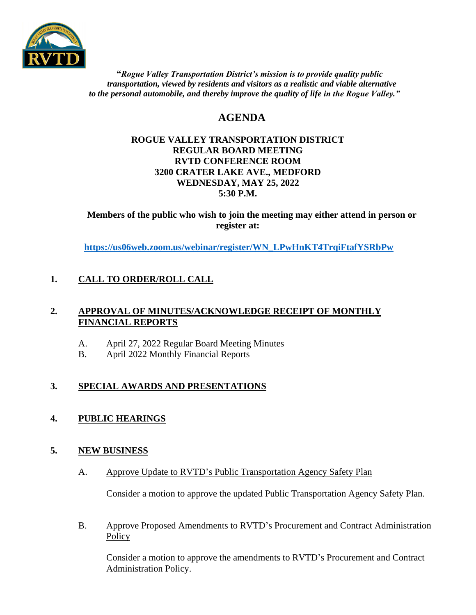

 **"***Rogue Valley Transportation District's mission is to provide quality public transportation, viewed by residents and visitors as a realistic and viable alternative* to the personal automobile, and thereby improve the quality of life in the Rogue Valley."

# **AGENDA**

#### **ROGUE VALLEY TRANSPORTATION DISTRICT REGULAR BOARD MEETING RVTD CONFERENCE ROOM 3200 CRATER LAKE AVE., MEDFORD WEDNESDAY, MAY 25, 2022 5:30 P.M.**

**Members of the public who wish to join the meeting may either attend in person or register at:**

**[https://us06web.zoom.us/webinar/register/WN\\_LPwHnKT4TrqiFtafYSRbPw](https://us06web.zoom.us/webinar/register/WN_LPwHnKT4TrqiFtafYSRbPw)**

# **1. CALL TO ORDER/ROLL CALL**

### **2. APPROVAL OF MINUTES/ACKNOWLEDGE RECEIPT OF MONTHLY FINANCIAL REPORTS**

- A. April 27, 2022 Regular Board Meeting Minutes
- B. April 2022 Monthly Financial Reports

# **3. SPECIAL AWARDS AND PRESENTATIONS**

# **4. PUBLIC HEARINGS**

# **5. NEW BUSINESS**

A. Approve Update to RVTD's Public Transportation Agency Safety Plan

Consider a motion to approve the updated Public Transportation Agency Safety Plan.

B. Approve Proposed Amendments to RVTD's Procurement and Contract Administration Policy

Consider a motion to approve the amendments to RVTD's Procurement and Contract Administration Policy.